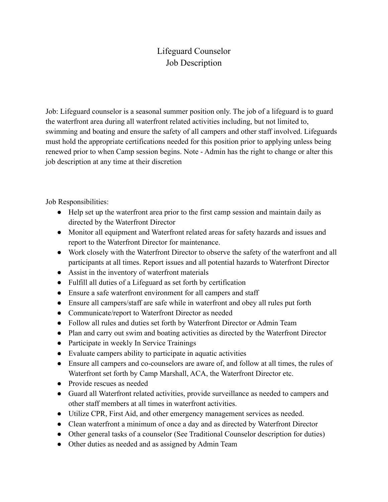## Lifeguard Counselor Job Description

Job: Lifeguard counselor is a seasonal summer position only. The job of a lifeguard is to guard the waterfront area during all waterfront related activities including, but not limited to, swimming and boating and ensure the safety of all campers and other staff involved. Lifeguards must hold the appropriate certifications needed for this position prior to applying unless being renewed prior to when Camp session begins. Note - Admin has the right to change or alter this job description at any time at their discretion

Job Responsibilities:

- Help set up the waterfront area prior to the first camp session and maintain daily as directed by the Waterfront Director
- Monitor all equipment and Waterfront related areas for safety hazards and issues and report to the Waterfront Director for maintenance.
- Work closely with the Waterfront Director to observe the safety of the waterfront and all participants at all times. Report issues and all potential hazards to Waterfront Director
- Assist in the inventory of waterfront materials
- Fulfill all duties of a Lifeguard as set forth by certification
- Ensure a safe waterfront environment for all campers and staff
- Ensure all campers/staff are safe while in waterfront and obey all rules put forth
- Communicate/report to Waterfront Director as needed
- Follow all rules and duties set forth by Waterfront Director or Admin Team
- Plan and carry out swim and boating activities as directed by the Waterfront Director
- Participate in weekly In Service Trainings
- Evaluate campers ability to participate in aquatic activities
- Ensure all campers and co-counselors are aware of, and follow at all times, the rules of Waterfront set forth by Camp Marshall, ACA, the Waterfront Director etc.
- Provide rescues as needed
- Guard all Waterfront related activities, provide surveillance as needed to campers and other staff members at all times in waterfront activities.
- Utilize CPR, First Aid, and other emergency management services as needed.
- Clean waterfront a minimum of once a day and as directed by Waterfront Director
- Other general tasks of a counselor (See Traditional Counselor description for duties)
- Other duties as needed and as assigned by Admin Team